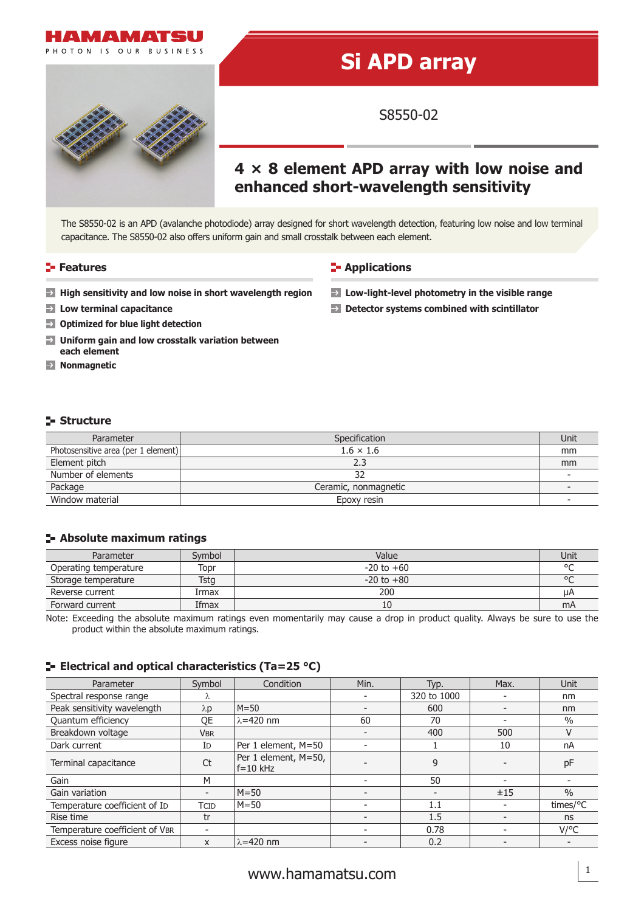

# **Si APD array**

S8550-02

## **4 × 8 element APD array with low noise and enhanced short-wavelength sensitivity**

The S8550-02 is an APD (avalanche photodiode) array designed for short wavelength detection, featuring low noise and low terminal capacitance. The S8550-02 also offers uniform gain and small crosstalk between each element.

### **Features Contractions Contractions**

- **High sensitivity and low noise in short wavelength region Low-light-level photometry in the visible range**
- 
- **Optimized for blue light detection**
- $\rightarrow$ **Uniform gain and low crosstalk variation between each element**
- **Nonmagnetic**

- 
- **Low terminal capacitance Detector systems combined with scintillator**

### **Structure**

| Parameter                           | Specification        | Unit |
|-------------------------------------|----------------------|------|
| Photosensitive area (per 1 element) | $1.6 \times 1.6$     | mm   |
| Element pitch                       | 2.3                  | mm   |
| Number of elements                  | 32                   |      |
| Package                             | Ceramic, nonmagnetic |      |
| Window material                     | Epoxy resin          |      |

### **Absolute maximum ratings**

| Parameter             | Symbol | Value          | Unit    |
|-----------------------|--------|----------------|---------|
| Operating temperature | Topr   | $-20$ to $+60$ | $\circ$ |
| Storage temperature   | Tstg   | $-20$ to $+80$ | $\circ$ |
| Reverse current       | Irmax  | 200            | μA      |
| Forward current       | Ifmax  | 10             | mA      |

Note: Exceeding the absolute maximum ratings even momentarily may cause a drop in product quality. Always be sure to use the product within the absolute maximum ratings.

### **E** Electrical and optical characteristics (Ta=25 °C)

| Parameter                      | Symbol                   | Condition                            | Min.                     | Typ.        | Max. | Unit          |
|--------------------------------|--------------------------|--------------------------------------|--------------------------|-------------|------|---------------|
| Spectral response range        | Λ.                       |                                      |                          | 320 to 1000 |      | nm            |
| Peak sensitivity wavelength    | $\lambda p$              | $M = 50$                             |                          | 600         |      | nm            |
| Quantum efficiency             | QE                       | $\lambda$ =420 nm                    | 60                       | 70          |      | $\frac{0}{0}$ |
| Breakdown voltage              | <b>VBR</b>               |                                      | $\overline{\phantom{a}}$ | 400         | 500  | $\vee$        |
| Dark current                   | ID                       | Per 1 element, M=50                  |                          |             | 10   | nA            |
| Terminal capacitance           | Ct                       | Per 1 element, M=50,<br>$f = 10$ kHz |                          | 9           |      | pF            |
| Gain                           | M                        |                                      |                          | 50          |      |               |
| Gain variation                 | $\overline{\phantom{a}}$ | $M = 50$                             |                          |             | ±15  | $\frac{0}{0}$ |
| Temperature coefficient of ID  | <b>TCID</b>              | $M = 50$                             |                          | 1.1         |      | times/°C      |
| Rise time                      | tr                       |                                      |                          | 1.5         |      | ns            |
| Temperature coefficient of VBR |                          |                                      |                          | 0.78        |      | $V$ /°C       |
| Excess noise figure            | X                        | $\lambda$ =420 nm                    |                          | 0.2         |      |               |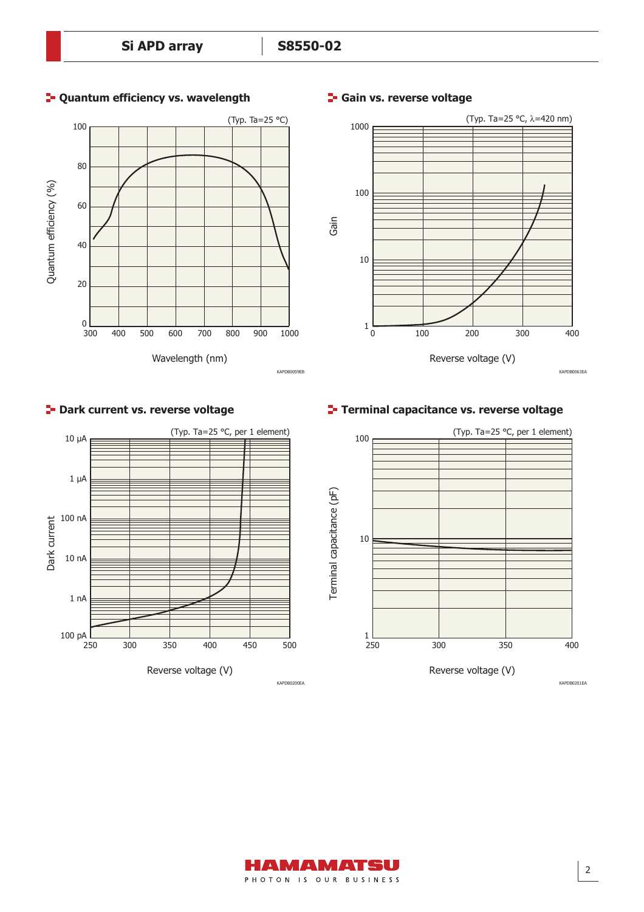

### **Quantum efficiency vs. wavelength F** Gain vs. reverse voltage



### KAPDB0063EA



### **P**- Dark current vs. reverse voltage

### **Terminal capacitance vs. reverse voltage**



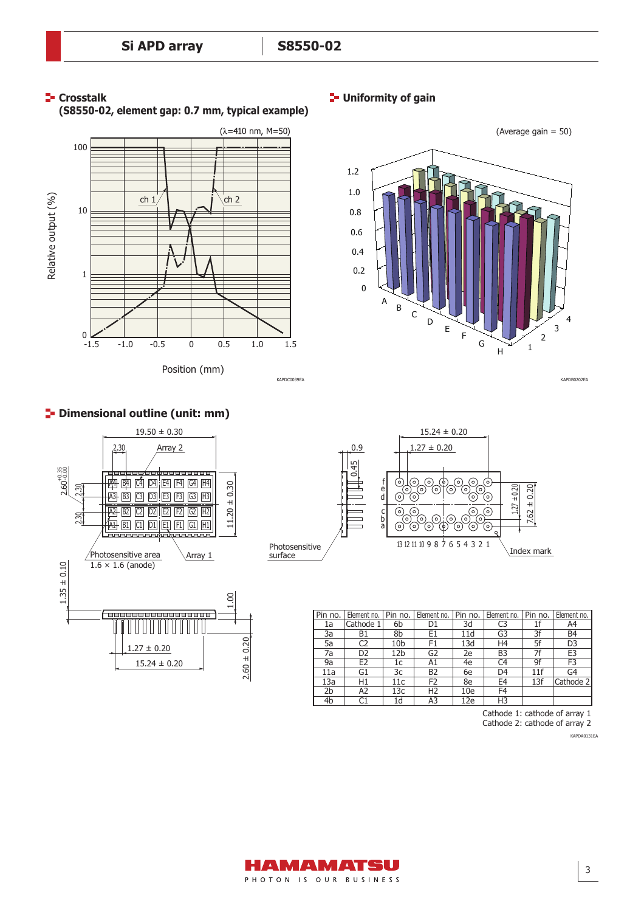

# Relative output (%) Relative output (%) ch  $1/$  |  $j \ch 2$ 10 1  $0 \sum_{-1.5}$ -1.5 -1.0 -0.5 0 0.5 1.0 1.5

Position (mm)





**Dimensional outline (unit: mm)**





KAPDC0039EA KAPDB0202EA

| Pin no.        | Element no.    | Pin no.         | Element no.    | Pin no. | Element no.    | Pin no. | Element no.    |
|----------------|----------------|-----------------|----------------|---------|----------------|---------|----------------|
| 1a             | Cathode 1      | 6b              | D <sub>1</sub> | 3d      | C <sub>3</sub> |         | A4             |
| 3a             | B1             | 8b              | E1             | 11d     | G3             | 3f      | B4             |
| 5a             | C2             | 10 <sub>b</sub> | F1             | 13d     | H <sub>4</sub> | 5f      | D <sub>3</sub> |
| 7a             | D <sub>2</sub> | 12 <sub>b</sub> | G2             | 2e      | B <sub>3</sub> | 7f      | E <sub>3</sub> |
| 9a             | E <sub>2</sub> | 1c              | A1             | 4e      | C4             | 9f      | F <sub>3</sub> |
| 11a            | G1             | Зc              | <b>B2</b>      | 6e      | D <sub>4</sub> | 11f     | G4             |
| 13a            | H1             | 11c             | F <sub>2</sub> | 8e      | E4             | 13f     | Cathode 2      |
| 2 <sub>b</sub> | A2             | 13с             | H <sub>2</sub> | 10e     | F4             |         |                |
| 4 <sub>b</sub> |                | 1d              | A3             | 12e     | H <sub>3</sub> |         |                |

Cathode 1: cathode of array 1

Cathode 2: cathode of array 2

KAPDA0131EA